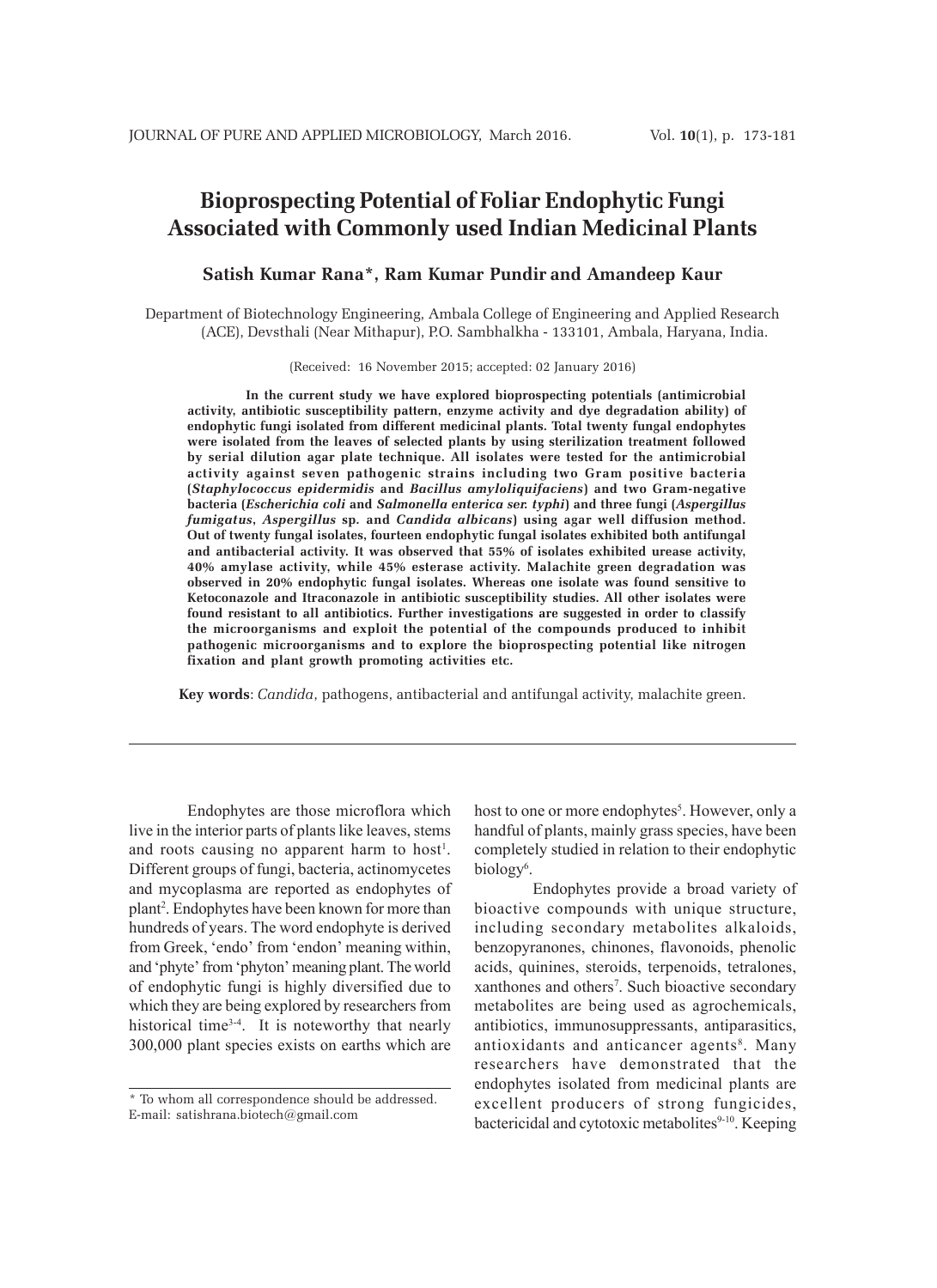# **Bioprospecting Potential of Foliar Endophytic Fungi Associated with Commonly used Indian Medicinal Plants**

# **Satish Kumar Rana\*, Ram Kumar Pundir and Amandeep Kaur**

Department of Biotechnology Engineering, Ambala College of Engineering and Applied Research (ACE), Devsthali (Near Mithapur), P.O. Sambhalkha - 133101, Ambala, Haryana, India.

(Received: 16 November 2015; accepted: 02 January 2016)

**In the current study we have explored bioprospecting potentials (antimicrobial activity, antibiotic susceptibility pattern, enzyme activity and dye degradation ability) of endophytic fungi isolated from different medicinal plants. Total twenty fungal endophytes were isolated from the leaves of selected plants by using sterilization treatment followed by serial dilution agar plate technique. All isolates were tested for the antimicrobial activity against seven pathogenic strains including two Gram positive bacteria (***Staphylococcus epidermidis* **and** *Bacillus amyloliquifaciens***) and two Gram-negative bacteria (***Escherichia coli* **and** *Salmonella enterica ser. typhi***) and three fungi (***Aspergillus fumigatus***,** *Aspergillus* **sp***.* **and** *Candida albicans***) using agar well diffusion method. Out of twenty fungal isolates, fourteen endophytic fungal isolates exhibited both antifungal and antibacterial activity. It was observed that 55% of isolates exhibited urease activity, 40% amylase activity, while 45% esterase activity. Malachite green degradation was observed in 20% endophytic fungal isolates. Whereas one isolate was found sensitive to Ketoconazole and Itraconazole in antibiotic susceptibility studies. All other isolates were found resistant to all antibiotics. Further investigations are suggested in order to classify the microorganisms and exploit the potential of the compounds produced to inhibit pathogenic microorganisms and to explore the bioprospecting potential like nitrogen fixation and plant growth promoting activities etc.**

**Key words**: *Candida*, pathogens, antibacterial and antifungal activity, malachite green.

Endophytes are those microflora which live in the interior parts of plants like leaves, stems and roots causing no apparent harm to host<sup>1</sup>. Different groups of fungi, bacteria, actinomycetes and mycoplasma are reported as endophytes of plant2 . Endophytes have been known for more than hundreds of years. The word endophyte is derived from Greek, 'endo' from 'endon' meaning within, and 'phyte' from 'phyton' meaning plant. The world of endophytic fungi is highly diversified due to which they are being explored by researchers from historical time<sup>3-4</sup>. It is noteworthy that nearly 300,000 plant species exists on earths which are

host to one or more endophytes<sup>5</sup>. However, only a handful of plants, mainly grass species, have been completely studied in relation to their endophytic biology<sup>6</sup>.

Endophytes provide a broad variety of bioactive compounds with unique structure, including secondary metabolites alkaloids, benzopyranones, chinones, flavonoids, phenolic acids, quinines, steroids, terpenoids, tetralones, xanthones and others<sup>7</sup>. Such bioactive secondary metabolites are being used as agrochemicals, antibiotics, immunosuppressants, antiparasitics, antioxidants and anticancer agents<sup>8</sup>. Many researchers have demonstrated that the endophytes isolated from medicinal plants are excellent producers of strong fungicides, bactericidal and cytotoxic metabolites<sup>9-10</sup>. Keeping

<sup>\*</sup> To whom all correspondence should be addressed. E-mail: satishrana.biotech@gmail.com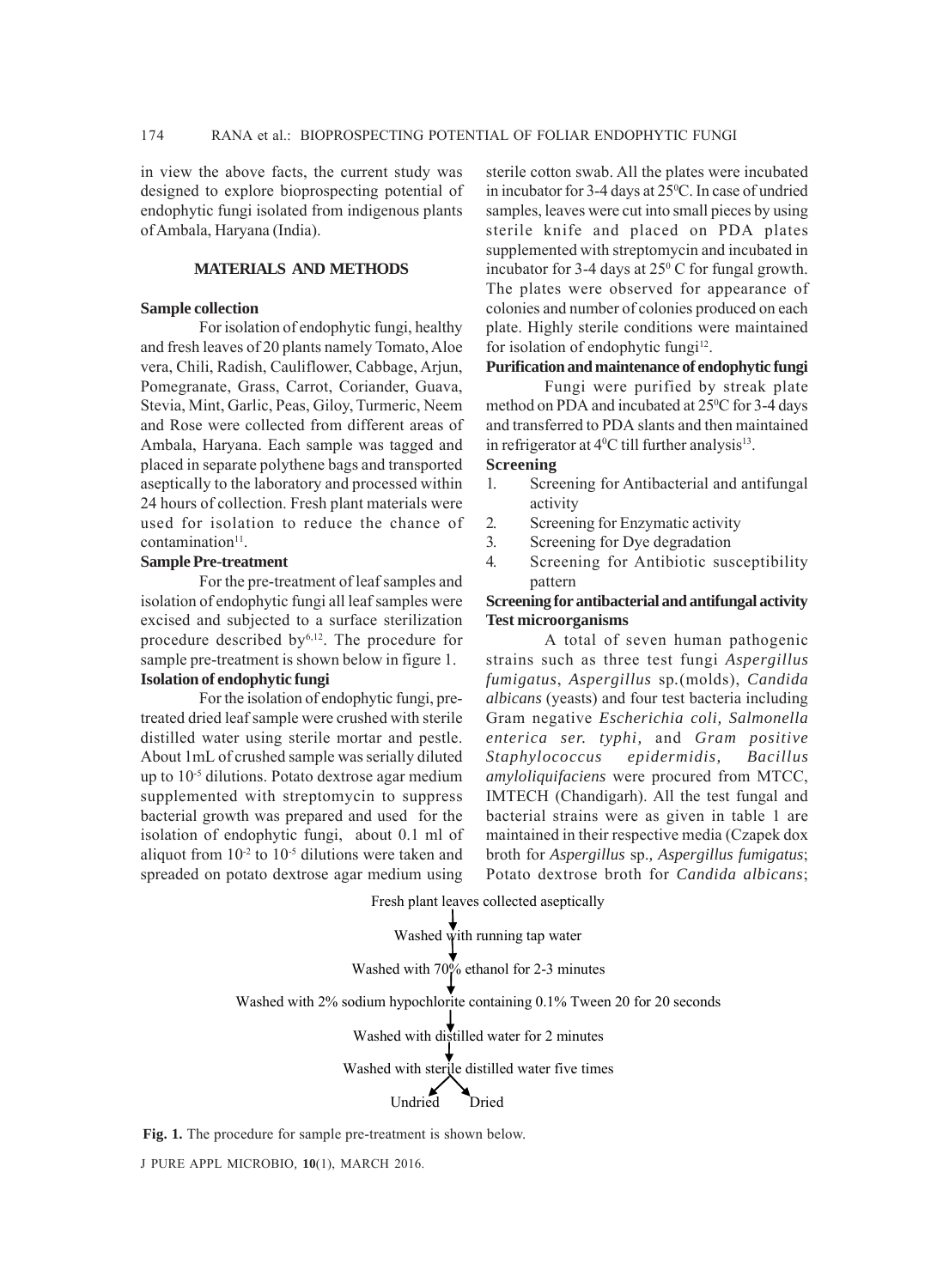in view the above facts, the current study was designed to explore bioprospecting potential of endophytic fungi isolated from indigenous plants of Ambala, Haryana (India).

# **MATERIALS AND METHODS**

#### **Sample collection**

For isolation of endophytic fungi, healthy and fresh leaves of 20 plants namely Tomato, Aloe vera, Chili, Radish, Cauliflower, Cabbage, Arjun, Pomegranate, Grass, Carrot, Coriander, Guava, Stevia, Mint, Garlic, Peas, Giloy, Turmeric, Neem and Rose were collected from different areas of Ambala, Haryana. Each sample was tagged and placed in separate polythene bags and transported aseptically to the laboratory and processed within 24 hours of collection. Fresh plant materials were used for isolation to reduce the chance of  $contamination<sup>11</sup>$ .

#### **Sample Pre-treatment**

For the pre-treatment of leaf samples and isolation of endophytic fungi all leaf samples were excised and subjected to a surface sterilization procedure described by<sup>6,12</sup>. The procedure for sample pre-treatment is shown below in figure 1. **Isolation of endophytic fungi**

For the isolation of endophytic fungi, pretreated dried leaf sample were crushed with sterile distilled water using sterile mortar and pestle. About 1mL of crushed sample was serially diluted up to 10-5 dilutions. Potato dextrose agar medium supplemented with streptomycin to suppress bacterial growth was prepared and used for the isolation of endophytic fungi, about 0.1 ml of aliquot from  $10^{-2}$  to  $10^{-5}$  dilutions were taken and spreaded on potato dextrose agar medium using sterile cotton swab. All the plates were incubated in incubator for 3-4 days at 25°C. In case of undried samples, leaves were cut into small pieces by using sterile knife and placed on PDA plates supplemented with streptomycin and incubated in incubator for 3-4 days at  $25^{\circ}$  C for fungal growth. The plates were observed for appearance of colonies and number of colonies produced on each plate. Highly sterile conditions were maintained for isolation of endophytic fungi $12$ .

# **Purification and maintenance of endophytic fungi**

Fungi were purified by streak plate method on PDA and incubated at 25<sup>o</sup>C for 3-4 days and transferred to PDA slants and then maintained in refrigerator at  $4^{\circ}$ C till further analysis<sup>13</sup>.

# **Screening**

- 1. Screening for Antibacterial and antifungal activity
- 2. Screening for Enzymatic activity
- 3. Screening for Dye degradation
- 4. Screening for Antibiotic susceptibility pattern

## **Screening for antibacterial and antifungal activity Test microorganisms**

A total of seven human pathogenic strains such as three test fungi *Aspergillus fumigatus*, *Aspergillus* sp*.*(molds), *Candida albicans* (yeasts) and four test bacteria including Gram negative *Escherichia coli, Salmonella enterica ser. typhi,* and *Gram positive Staphylococcus epidermidis, Bacillus amyloliquifaciens* were procured from MTCC, IMTECH (Chandigarh). All the test fungal and bacterial strains were as given in table 1 are maintained in their respective media (Czapek dox broth for *Aspergillus* sp.*, Aspergillus fumigatus*; Potato dextrose broth for *Candida albicans*;

Fresh plant leaves collected aseptically

Washed with running tap water

Washed with 70% ethanol for 2-3 minutes

Washed with 2% sodium hypochlorite containing 0.1% Tween 20 for 20 seconds

Washed with distilled water for 2 minutes

Washed with sterile distilled water five times

Undried Dried

**Fig. 1.** The procedure for sample pre-treatment is shown below.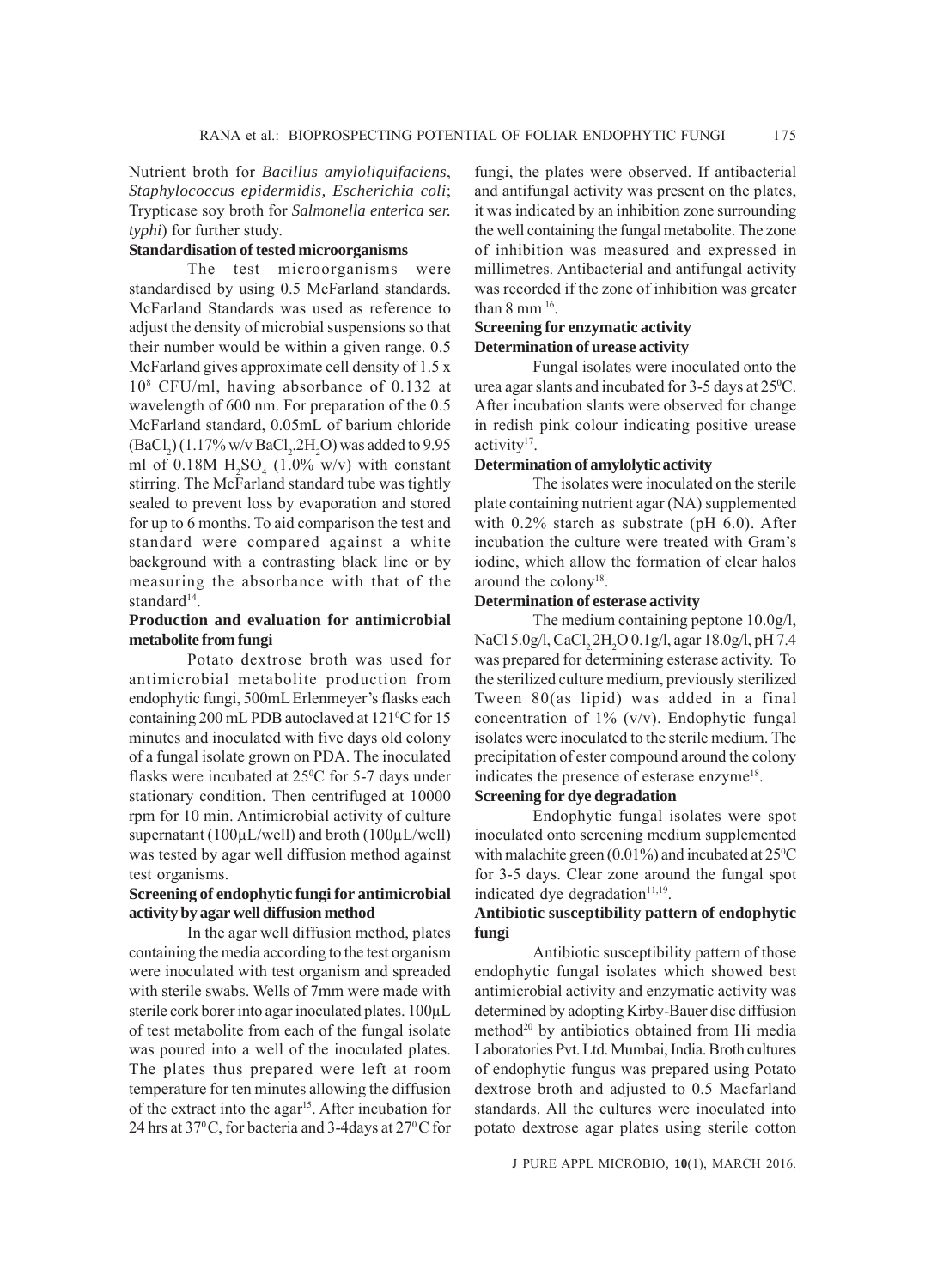Nutrient broth for *Bacillus amyloliquifaciens*, *Staphylococcus epidermidis, Escherichia coli*; Trypticase soy broth for *Salmonella enterica ser. typhi*) for further study.

# **Standardisation of tested microorganisms**

The test microorganisms were standardised by using 0.5 McFarland standards. McFarland Standards was used as reference to adjust the density of microbial suspensions so that their number would be within a given range. 0.5 McFarland gives approximate cell density of 1.5 x 108 CFU/ml, having absorbance of 0.132 at wavelength of 600 nm. For preparation of the 0.5 McFarland standard, 0.05mL of barium chloride  $(BaCl<sub>2</sub>) (1.17\% w/v BaCl<sub>2</sub>.2H<sub>2</sub>O)$  was added to 9.95 ml of  $0.18M H<sub>2</sub>SO<sub>4</sub>$  (1.0% w/v) with constant stirring. The McFarland standard tube was tightly sealed to prevent loss by evaporation and stored for up to 6 months. To aid comparison the test and standard were compared against a white background with a contrasting black line or by measuring the absorbance with that of the standard<sup>14</sup>.

# **Production and evaluation for antimicrobial metabolite from fungi**

Potato dextrose broth was used for antimicrobial metabolite production from endophytic fungi, 500mL Erlenmeyer's flasks each containing 200 mL PDB autoclaved at 121°C for 15 minutes and inoculated with five days old colony of a fungal isolate grown on PDA. The inoculated flasks were incubated at  $25^{\circ}$ C for 5-7 days under stationary condition. Then centrifuged at 10000 rpm for 10 min. Antimicrobial activity of culture supernatant (100μL/well) and broth (100μL/well) was tested by agar well diffusion method against test organisms.

# **Screening of endophytic fungi for antimicrobial activity by agar well diffusion method**

In the agar well diffusion method, plates containing the media according to the test organism were inoculated with test organism and spreaded with sterile swabs. Wells of 7mm were made with sterile cork borer into agar inoculated plates. 100μL of test metabolite from each of the fungal isolate was poured into a well of the inoculated plates. The plates thus prepared were left at room temperature for ten minutes allowing the diffusion of the extract into the agar<sup>15</sup>. After incubation for 24 hrs at 37°C, for bacteria and 3-4days at 27°C for fungi, the plates were observed. If antibacterial and antifungal activity was present on the plates, it was indicated by an inhibition zone surrounding the well containing the fungal metabolite. The zone of inhibition was measured and expressed in millimetres. Antibacterial and antifungal activity was recorded if the zone of inhibition was greater than  $8 \text{ mm}^{16}$ .

#### **Screening for enzymatic activity Determination of urease activity**

Fungal isolates were inoculated onto the urea agar slants and incubated for 3-5 days at 25<sup>o</sup>C. After incubation slants were observed for change in redish pink colour indicating positive urease activity<sup>17</sup>.

# **Determination of amylolytic activity**

The isolates were inoculated on the sterile plate containing nutrient agar (NA) supplemented with 0.2% starch as substrate (pH 6.0). After incubation the culture were treated with Gram's iodine, which allow the formation of clear halos around the colony<sup>18</sup>.

### **Determination of esterase activity**

The medium containing peptone 10.0g/l, NaCl 5.0g/l, CaCl<sub>2</sub>.2H<sub>2</sub>O 0.1g/l, agar 18.0g/l, pH 7.4 was prepared for determining esterase activity. To the sterilized culture medium, previously sterilized Tween 80(as lipid) was added in a final concentration of  $1\%$  (v/v). Endophytic fungal isolates were inoculated to the sterile medium. The precipitation of ester compound around the colony indicates the presence of esterase enzyme<sup>18</sup>.

# **Screening for dye degradation**

Endophytic fungal isolates were spot inoculated onto screening medium supplemented with malachite green  $(0.01\%)$  and incubated at  $25\degree$ C for 3-5 days. Clear zone around the fungal spot indicated dye degradation<sup>11,19</sup>.

# **Antibiotic susceptibility pattern of endophytic fungi**

Antibiotic susceptibility pattern of those endophytic fungal isolates which showed best antimicrobial activity and enzymatic activity was determined by adopting Kirby-Bauer disc diffusion method<sup>20</sup> by antibiotics obtained from Hi media Laboratories Pvt. Ltd. Mumbai, India. Broth cultures of endophytic fungus was prepared using Potato dextrose broth and adjusted to 0.5 Macfarland standards. All the cultures were inoculated into potato dextrose agar plates using sterile cotton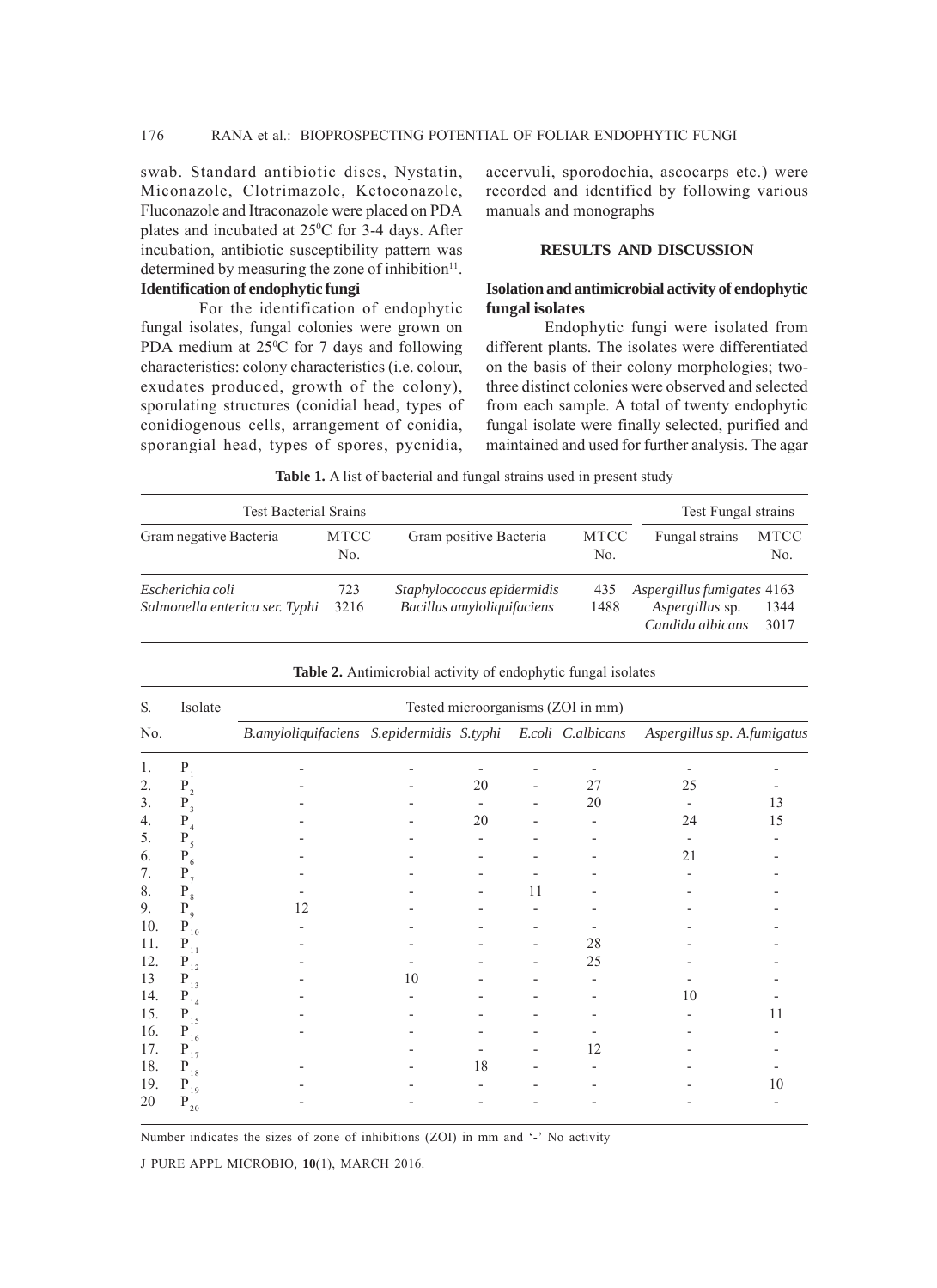swab. Standard antibiotic discs, Nystatin, Miconazole, Clotrimazole, Ketoconazole, Fluconazole and Itraconazole were placed on PDA plates and incubated at  $25^{\circ}$ C for 3-4 days. After incubation, antibiotic susceptibility pattern was determined by measuring the zone of inhibition $11$ . **Identification of endophytic fungi**

fungal isolates, fungal colonies were grown on PDA medium at  $25^{\circ}$ C for 7 days and following characteristics: colony characteristics (i.e. colour, exudates produced, growth of the colony), sporulating structures (conidial head, types of conidiogenous cells, arrangement of conidia, sporangial head, types of spores, pycnidia,

For the identification of endophytic

accervuli, sporodochia, ascocarps etc.) were recorded and identified by following various manuals and monographs

# **RESULTS AND DISCUSSION**

#### **Isolation and antimicrobial activity of endophytic fungal isolates**

Endophytic fungi were isolated from different plants. The isolates were differentiated on the basis of their colony morphologies; twothree distinct colonies were observed and selected from each sample. A total of twenty endophytic fungal isolate were finally selected, purified and maintained and used for further analysis. The agar

| Table 1. A list of bacterial and fungal strains used in present study |                    |                                                          |                    |                                                                   |                    |  |  |
|-----------------------------------------------------------------------|--------------------|----------------------------------------------------------|--------------------|-------------------------------------------------------------------|--------------------|--|--|
| <b>Test Bacterial Srains</b>                                          |                    |                                                          |                    | Test Fungal strains                                               |                    |  |  |
| Gram negative Bacteria                                                | <b>MTCC</b><br>No. | Gram positive Bacteria                                   | <b>MTCC</b><br>No. | Fungal strains                                                    | <b>MTCC</b><br>No. |  |  |
| Escherichia coli<br>Salmonella enterica ser. Typhi                    | 723<br>3216        | Staphylococcus epidermidis<br>Bacillus amyloliquifaciens | 435<br>1488        | Aspergillus fumigates 4163<br>Aspergillus sp.<br>Candida albicans | 1344<br>3017       |  |  |

| S.  | Isolate              | Tested microorganisms (ZOI in mm)                           |    |                          |    |    |                             |    |
|-----|----------------------|-------------------------------------------------------------|----|--------------------------|----|----|-----------------------------|----|
| No. |                      | B.amyloliquifaciens S.epidermidis S.typhi E.coli C.albicans |    |                          |    |    | Aspergillus sp. A.fumigatus |    |
| 1.  | $P_1$                |                                                             |    |                          |    |    |                             |    |
| 2.  | $P_2$                |                                                             |    | 20                       |    | 27 | 25                          |    |
| 3.  | $P_3$                |                                                             |    | $\overline{\phantom{a}}$ |    | 20 |                             | 13 |
| 4.  | $P_4$                |                                                             |    | 20                       |    |    | 24                          | 15 |
| 5.  | $P_5$                |                                                             |    |                          |    |    |                             |    |
| 6.  | $P_6$                |                                                             |    |                          |    |    | 21                          |    |
| 7.  | $P_7$                |                                                             |    |                          |    |    |                             |    |
| 8.  | $P_{8}$              |                                                             |    |                          | 11 |    |                             |    |
| 9.  | $P_{9}$              | 12                                                          |    |                          |    |    |                             |    |
| 10. | $P_{10}$             |                                                             |    |                          |    |    |                             |    |
| 11. | $P_{11}$             |                                                             |    |                          |    | 28 |                             |    |
| 12. | $\mathbf{P}_{_{12}}$ |                                                             |    |                          |    | 25 |                             |    |
| 13  | $P_{13}$             |                                                             | 10 |                          |    |    |                             |    |
| 14. | $\mathbf{P}_{_{14}}$ |                                                             |    |                          |    |    | 10                          |    |
| 15. | $P_{15}$             |                                                             |    |                          |    |    |                             | 11 |
| 16. | $\mathbf{P}_{16}$    |                                                             |    |                          |    |    |                             |    |
| 17. | $P_{17}$             |                                                             |    |                          |    | 12 |                             |    |
| 18. | $\mathbf{P}_{_{18}}$ |                                                             |    | 18                       |    |    |                             |    |
| 19. | $\mathbf{P}_{19}$    |                                                             |    |                          |    |    |                             | 10 |
| 20  | $P_{20}$             |                                                             |    |                          |    |    |                             |    |

**Table 2.** Antimicrobial activity of endophytic fungal isolates

Number indicates the sizes of zone of inhibitions (ZOI) in mm and '-' No activity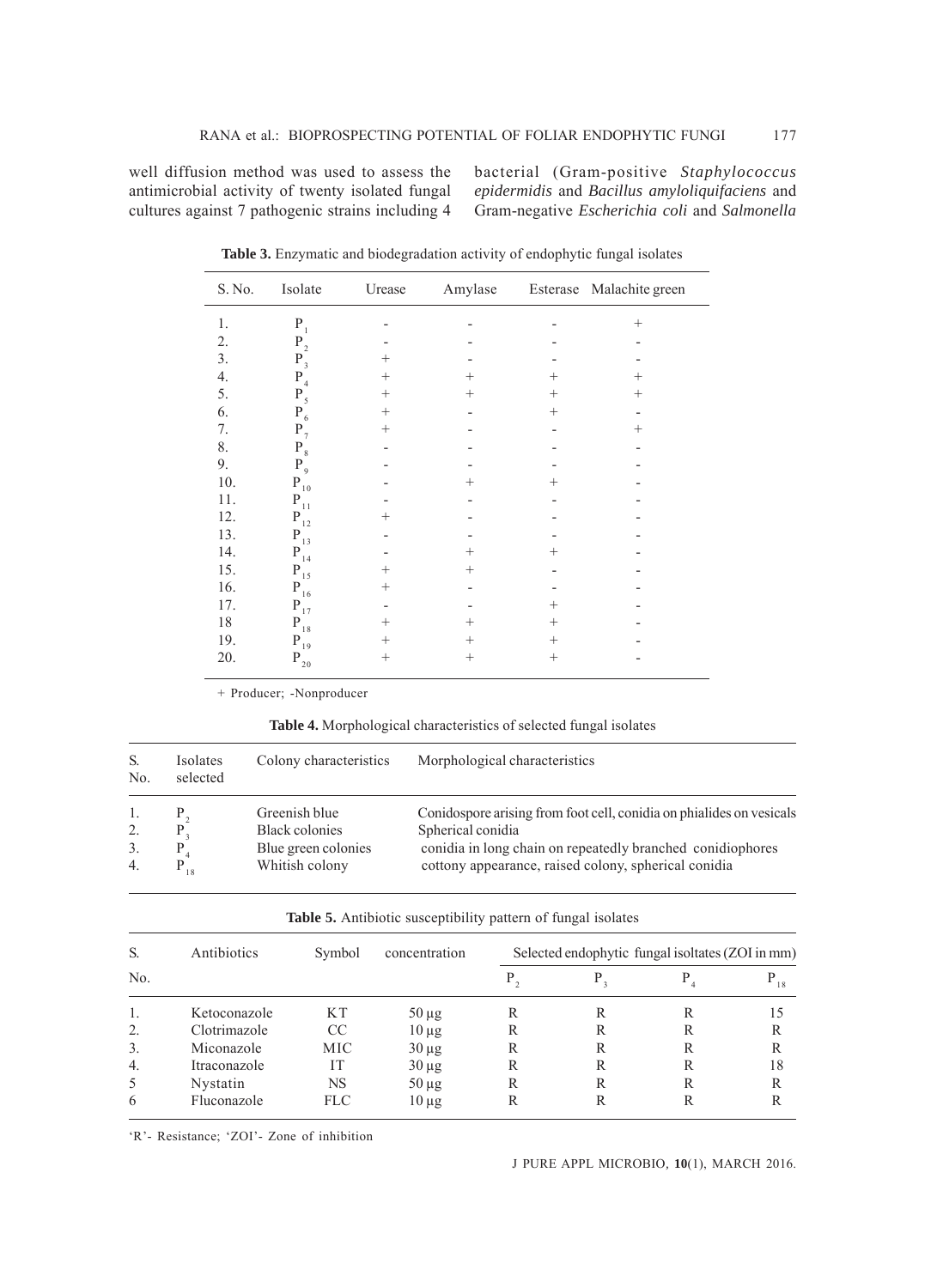well diffusion method was used to assess the antimicrobial activity of twenty isolated fungal cultures against 7 pathogenic strains including 4 bacterial (Gram-positive *Staphylococcus epidermidis* and *Bacillus amyloliquifaciens* and Gram-negative *Escherichia coli* and *Salmonella*

| S. No.           | Isolate              | Urease             | Amylase |                    | Esterase Malachite green |
|------------------|----------------------|--------------------|---------|--------------------|--------------------------|
| $1.$             | $\mathbf{P}_{1}$     |                    |         |                    | $^{+}$                   |
| 2.               | $\mathbf{P}_{_2}$    |                    |         |                    |                          |
| 3.               | $P_3$                | $^+$               |         |                    |                          |
| $\overline{4}$ . | $P_4$                | $^+$               | $^{+}$  | $\hspace{0.1mm} +$ | $^{+}$                   |
| 5.               | $P_5$                | $^{+}$             | $^{+}$  | $^{+}$             | $^{+}$                   |
| 6.               | $P_6$                | $^{+}$             |         | $^{+}$             |                          |
| 7.               | $P_{7}$              | $^{+}$             |         |                    | $^{+}$                   |
| 8.               | $\mathbf{P}_{_{8}}$  |                    |         |                    |                          |
| 9.               | $P_{\rm 9}$          |                    |         |                    |                          |
| 10.              | $\mathbf{P}_{_{10}}$ |                    | $^{+}$  | $\pm$              |                          |
| 11.              | $\mathbf{P}_{11}$    |                    |         |                    |                          |
| 12.              | $\mathbf{P}_{12}$    | $\hspace{0.1mm} +$ |         |                    |                          |
| 13.              | $\mathbf{P}_{13}$    |                    |         |                    |                          |
| 14.              | $\mathbf{P}_{_{14}}$ |                    | $^{+}$  | $\pm$              |                          |
| 15.              | $\mathbf{P}_{_{15}}$ | $^{+}$             | $^{+}$  |                    |                          |
| 16.              | $\mathbf{P}_{16}$    | $^+$               |         |                    |                          |
| 17.              | $\mathbf{P}_{17}$    |                    |         | $\hspace{0.1mm} +$ |                          |
| $18\,$           | $\mathbf{P}_{18}$    | $^{+}$             | $^{+}$  | $^{+}$             |                          |
| 19.              | $\mathbf{P}_{19}$    | $^{+}$             | $^{+}$  | $^{+}$             |                          |
| 20.              | $\mathbf{P}_{_{20}}$ | $^+$               | $^{+}$  | $^{+}$             |                          |

**Table 3.** Enzymatic and biodegradation activity of endophytic fungal isolates

+ Producer; -Nonproducer

**Table 4.** Morphological characteristics of selected fungal isolates

| S.<br>N <sub>0</sub> | Isolates<br>selected | Colony characteristics | Morphological characteristics                                        |
|----------------------|----------------------|------------------------|----------------------------------------------------------------------|
| 1.                   |                      | Greenish blue          | Conidospore arising from foot cell, conidia on phialides on vesicals |
| 2.                   |                      | <b>Black colonies</b>  | Spherical conidia                                                    |
| 3.                   |                      | Blue green colonies    | conidia in long chain on repeatedly branched conidiophores           |
| $\overline{4}$ .     |                      | Whitish colony         | cottony appearance, raised colony, spherical conidia                 |

**Table 5.** Antibiotic susceptibility pattern of fungal isolates

| S.               | Antibiotics  | Symbol | concentration | Selected endophytic fungal isoltates (ZOI in mm) |   |   |    |
|------------------|--------------|--------|---------------|--------------------------------------------------|---|---|----|
| No.              |              |        |               |                                                  |   |   | 18 |
|                  | Ketoconazole | K T    | $50 \mu g$    | R                                                |   | R | 15 |
| 2.               | Clotrimazole | CC     | $10 \mu g$    | R                                                | R | R | R  |
| 3.               | Miconazole   | MIC.   | $30 \mu g$    | R                                                | R | R | R  |
| $\overline{4}$ . | Itraconazole | IТ     | $30 \mu g$    | R                                                | R | R | 18 |
| .5               | Nystatin     | NS     | $50 \mu g$    | R                                                | R | R | R  |
| 6                | Fluconazole  | FLC    | $10 \mu g$    |                                                  |   | R | R  |

'R'- Resistance; 'ZOI'- Zone of inhibition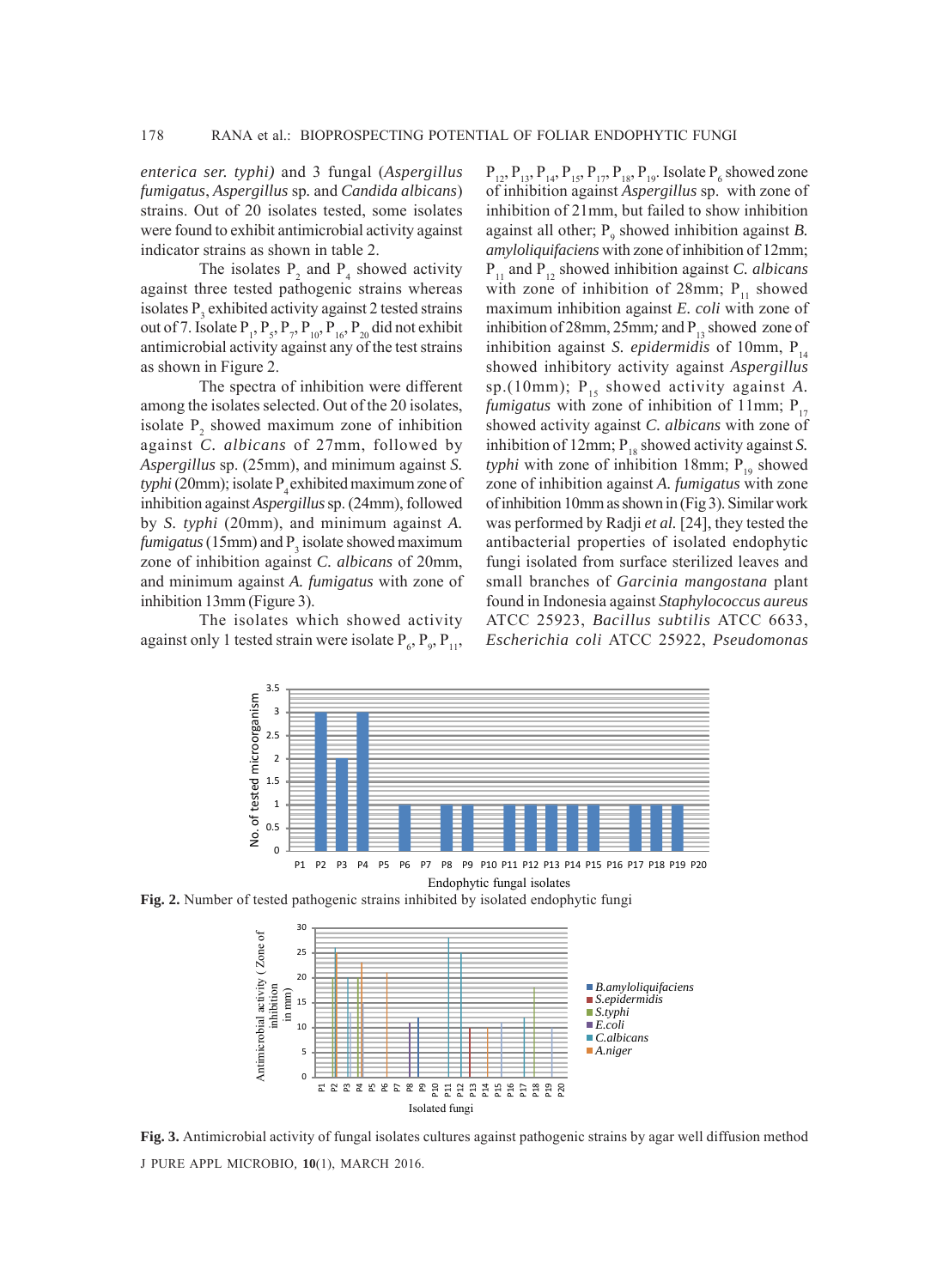*enterica ser. typhi)* and 3 fungal (*Aspergillus fumigatus*, *Aspergillus* sp*.* and *Candida albicans*) strains. Out of 20 isolates tested, some isolates were found to exhibit antimicrobial activity against indicator strains as shown in table 2.

The isolates  $P_2$  and  $P_4$  showed activity against three tested pathogenic strains whereas isolates  $P_3$  exhibited activity against 2 tested strains out of 7. Isolate  $P_1$ ,  $P_5$ ,  $P_7$ ,  $P_{10}$ ,  $P_{16}$ ,  $P_{20}$  did not exhibit antimicrobial activity against any of the test strains as shown in Figure 2.

The spectra of inhibition were different among the isolates selected. Out of the 20 isolates, isolate  $P_2$  showed maximum zone of inhibition against *C. albicans* of 27mm, followed by *Aspergillus* sp. (25mm), and minimum against *S.*  $t$ *yphi* (20mm); isolate  $P<sub>4</sub>$  exhibited maximum zone of inhibition against *Aspergillus* sp. (24mm), followed by *S. typhi* (20mm), and minimum against *A.*  $f$ *umigatus* (15mm) and  $P_3$  isolate showed maximum zone of inhibition against *C. albicans* of 20mm, and minimum against *A. fumigatus* with zone of inhibition 13mm (Figure 3).

The isolates which showed activity against only 1 tested strain were isolate  $P_6$ ,  $P_9$ ,  $P_{11}$ ,

 $P_{12}$ ,  $P_{13}$ ,  $P_{14}$ ,  $P_{15}$ ,  $P_{17}$ ,  $P_{18}$ ,  $P_{19}$ . Isolate  $P_6$  showed zone of inhibition against *Aspergillus* sp.with zone of inhibition of 21mm, but failed to show inhibition against all other;  $P_9$  showed inhibition against *B*. *amyloliquifaciens* with zone of inhibition of 12mm; P11 and P12 showed inhibition against *C. albicans* with zone of inhibition of 28mm;  $P_{11}$  showed maximum inhibition against *E. coli* with zone of inhibition of 28mm, 25mm; and  $P_{13}$  showed zone of inhibition against *S. epidermidis* of 10mm,  $P_{14}$ showed inhibitory activity against *Aspergillus* sp.(10mm);  $P_{15}$  showed activity against *A*. *fumigatus* with zone of inhibition of 11mm;  $P_{17}$ showed activity against *C. albicans* with zone of inhibition of 12mm;  $P_{18}$  showed activity against *S*. *typhi* with zone of inhibition 18mm;  $P_{19}$  showed zone of inhibition against *A. fumigatus* with zone of inhibition 10mm as shown in (Fig 3). Similar work was performed by Radji *et al.* [24], they tested the antibacterial properties of isolated endophytic fungi isolated from surface sterilized leaves and small branches of *Garcinia mangostana* plant found in Indonesia against *Staphylococcus aureus* ATCC 25923, *Bacillus subtilis* ATCC 6633, *Escherichia coli* ATCC 25922, *Pseudomonas*



**Fig. 2.** Number of tested pathogenic strains inhibited by isolated endophytic fungi



J PURE APPL MICROBIO*,* **10**(1), MARCH 2016. **Fig. 3.** Antimicrobial activity of fungal isolates cultures against pathogenic strains by agar well diffusion method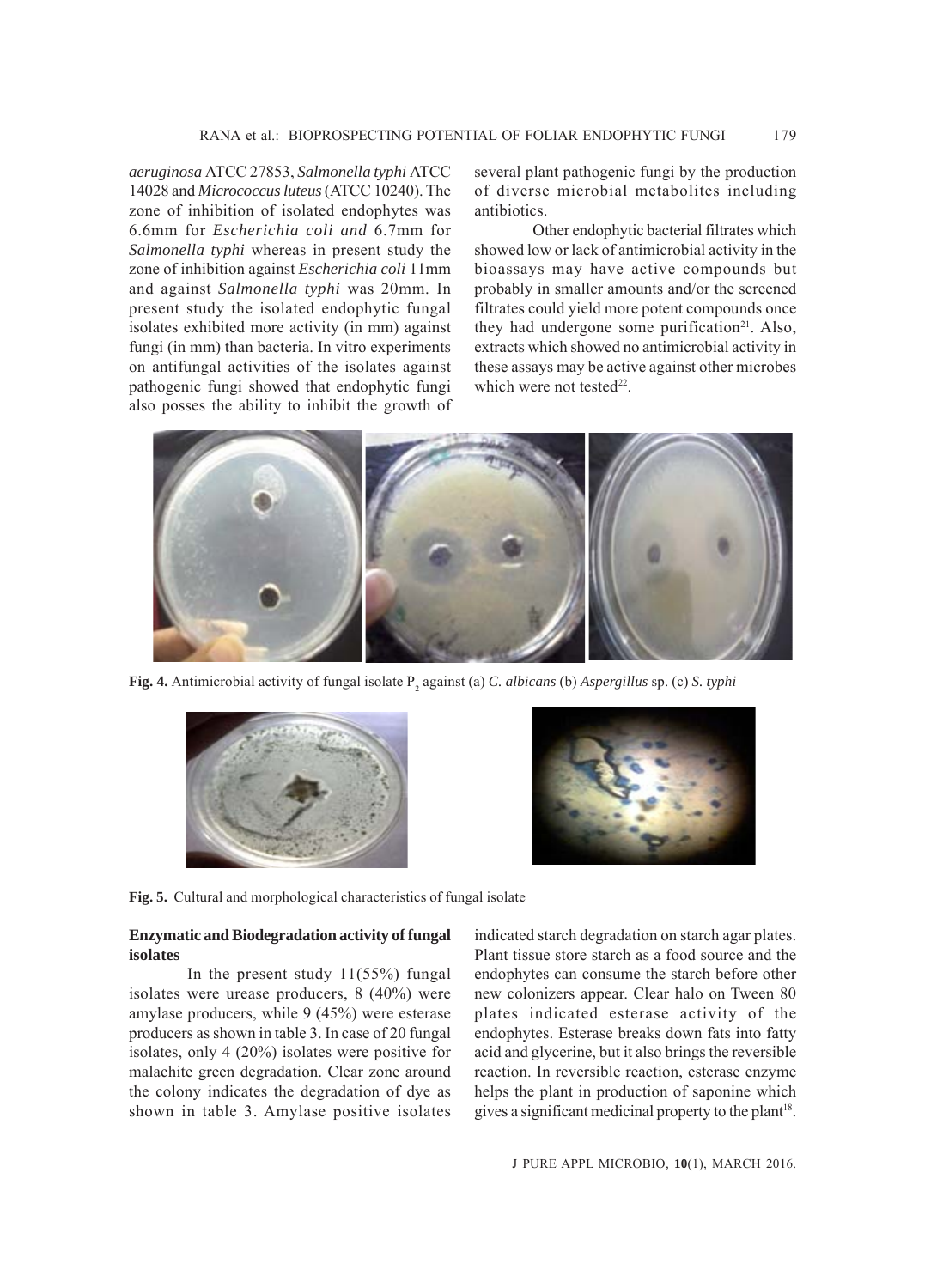*aeruginosa* ATCC 27853, *Salmonella typhi* ATCC 14028 and *Micrococcus luteus* (ATCC 10240). The zone of inhibition of isolated endophytes was 6.6mm for *Escherichia coli and* 6.7mm for *Salmonella typhi* whereas in present study the zone of inhibition against *Escherichia coli* 11mm and against *Salmonella typhi* was 20mm. In present study the isolated endophytic fungal isolates exhibited more activity (in mm) against fungi (in mm) than bacteria. In vitro experiments on antifungal activities of the isolates against pathogenic fungi showed that endophytic fungi also posses the ability to inhibit the growth of several plant pathogenic fungi by the production of diverse microbial metabolites including antibiotics.

Other endophytic bacterial filtrates which showed low or lack of antimicrobial activity in the bioassays may have active compounds but probably in smaller amounts and/or the screened filtrates could yield more potent compounds once they had undergone some purification<sup>21</sup>. Also, extracts which showed no antimicrobial activity in these assays may be active against other microbes which were not tested<sup>22</sup>.



**Fig. 4.** Antimicrobial activity of fungal isolate P<sub>2</sub> against (a) *C. albicans* (b) *Aspergillus* sp. (c) *S. typhi* 





**Fig. 5.** Cultural and morphological characteristics of fungal isolate

### **Enzymatic and Biodegradation activity of fungal isolates**

In the present study 11(55%) fungal isolates were urease producers, 8 (40%) were amylase producers, while 9 (45%) were esterase producers as shown in table 3. In case of 20 fungal isolates, only 4 (20%) isolates were positive for malachite green degradation. Clear zone around the colony indicates the degradation of dye as shown in table 3. Amylase positive isolates indicated starch degradation on starch agar plates. Plant tissue store starch as a food source and the endophytes can consume the starch before other new colonizers appear. Clear halo on Tween 80 plates indicated esterase activity of the endophytes. Esterase breaks down fats into fatty acid and glycerine, but it also brings the reversible reaction. In reversible reaction, esterase enzyme helps the plant in production of saponine which gives a significant medicinal property to the plant<sup>18</sup>.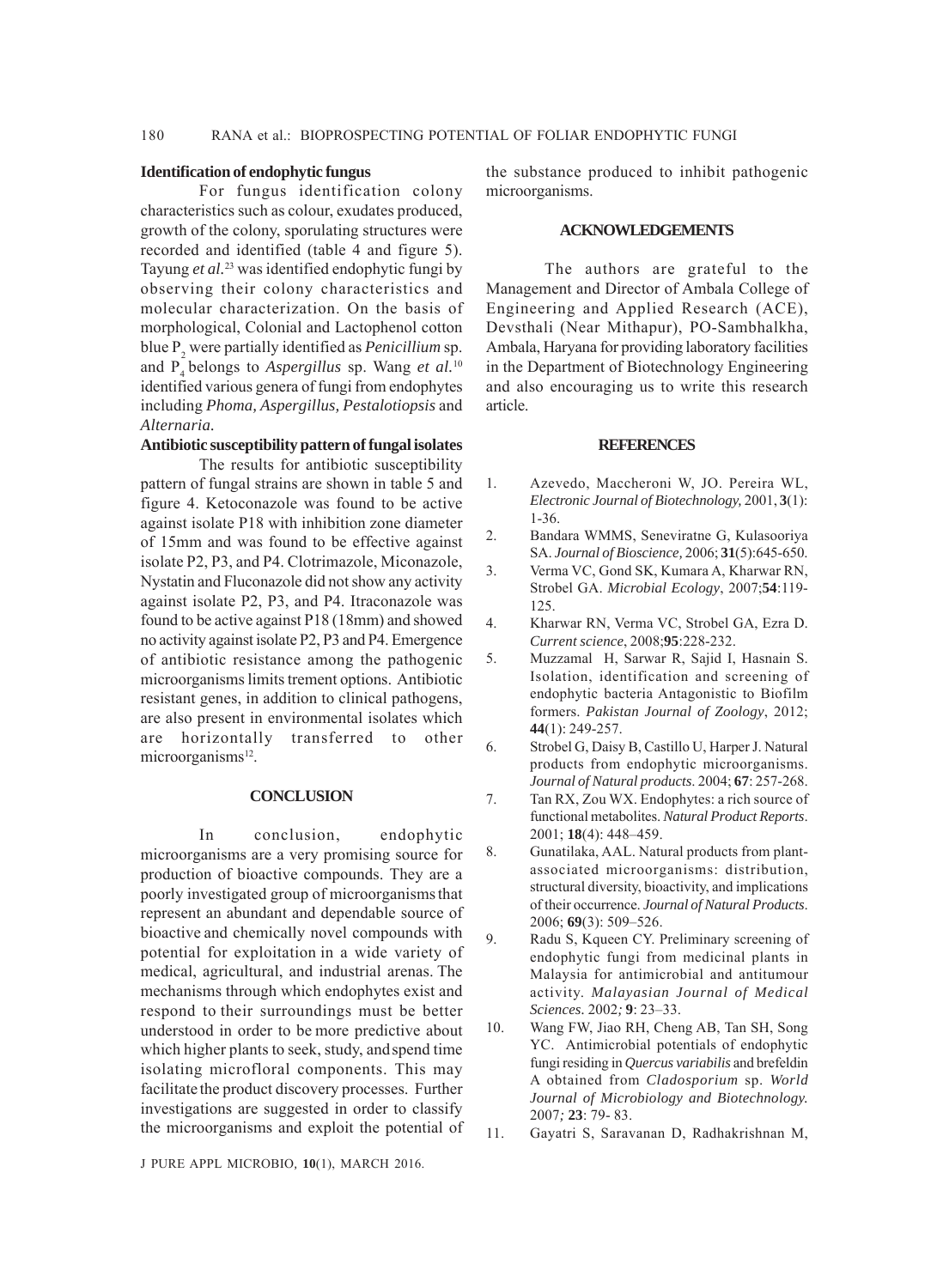#### 180 RANA et al.: BIOPROSPECTING POTENTIAL OF FOLIAR ENDOPHYTIC FUNGI

#### **Identification of endophytic fungus**

For fungus identification colony characteristics such as colour, exudates produced, growth of the colony, sporulating structures were recorded and identified (table 4 and figure 5). Tayung *et al.*23 was identified endophytic fungi by observing their colony characteristics and molecular characterization. On the basis of morphological, Colonial and Lactophenol cotton blue P<sub>2</sub> were partially identified as *Penicillium* sp. and P4 belongs to *Aspergillus* sp. Wang *et al.*<sup>10</sup> identified various genera of fungi from endophytes including *Phoma, Aspergillus, Pestalotiopsis* and *Alternaria.*

#### **Antibiotic susceptibility pattern of fungal isolates**

The results for antibiotic susceptibility pattern of fungal strains are shown in table 5 and figure 4. Ketoconazole was found to be active against isolate P18 with inhibition zone diameter of 15mm and was found to be effective against isolate P2, P3, and P4. Clotrimazole, Miconazole, Nystatin and Fluconazole did not show any activity against isolate P2, P3, and P4. Itraconazole was found to be active against P18 (18mm) and showed no activity against isolate P2, P3 and P4. Emergence of antibiotic resistance among the pathogenic microorganisms limits trement options. Antibiotic resistant genes, in addition to clinical pathogens, are also present in environmental isolates which are horizontally transferred to other microorganisms<sup>12</sup>.

#### **CONCLUSION**

In conclusion, endophytic microorganisms are a very promising source for production of bioactive compounds. They are a poorly investigated group of microorganismsthat represent an abundant and dependable source of bioactive and chemically novel compounds with potential for exploitation in a wide variety of medical, agricultural, and industrial arenas. The mechanisms through which endophytes exist and respond to their surroundings must be better understood in order to be more predictive about which higher plants to seek, study, andspend time isolating microfloral components. This may facilitate the product discovery processes. Further investigations are suggested in order to classify the microorganisms and exploit the potential of the substance produced to inhibit pathogenic microorganisms.

#### **ACKNOWLEDGEMENTS**

The authors are grateful to the Management and Director of Ambala College of Engineering and Applied Research (ACE), Devsthali (Near Mithapur), PO-Sambhalkha, Ambala, Haryana for providing laboratory facilities in the Department of Biotechnology Engineering and also encouraging us to write this research article.

#### **REFERENCES**

- 1. Azevedo, Maccheroni W, JO. Pereira WL, *Electronic Journal of Biotechnology,* 2001, **3**(1): 1-36.
- 2. Bandara WMMS, Seneviratne G, Kulasooriya SA. *Journal of Bioscience,* 2006; **31**(5):645-650.
- 3. Verma VC, Gond SK, Kumara A, Kharwar RN, Strobel GA. *Microbial Ecology*, 2007;**54**:119- 125.
- 4. Kharwar RN, Verma VC, Strobel GA, Ezra D. *Current science*, 2008;**95**:228-232.
- 5. Muzzamal H, Sarwar R, Sajid I, Hasnain S. Isolation, identification and screening of endophytic bacteria Antagonistic to Biofilm formers. *Pakistan Journal of Zoology*, 2012; **44**(1): 249-257.
- 6. Strobel G, Daisy B, Castillo U, Harper J. Natural products from endophytic microorganisms. *Journal of Natural products*. 2004; **67**: 257-268.
- 7. Tan RX, Zou WX. Endophytes: a rich source of functional metabolites. *Natural Product Reports*. 2001; **18**(4): 448–459.
- 8. Gunatilaka, AAL. Natural products from plantassociated microorganisms: distribution, structural diversity, bioactivity, and implications of their occurrence. *Journal of Natural Products*. 2006; **69**(3): 509–526.
- 9. Radu S, Kqueen CY. Preliminary screening of endophytic fungi from medicinal plants in Malaysia for antimicrobial and antitumour activity. *Malayasian Journal of Medical Sciences.* 2002*;* **9**: 23–33.
- 10. Wang FW, Jiao RH, Cheng AB, Tan SH, Song YC. Antimicrobial potentials of endophytic fungi residing in *Quercus variabilis* and brefeldin A obtained from *Cladosporium* sp. *World Journal of Microbiology and Biotechnology.* 2007*;* **23**: 79- 83.
- 11. Gayatri S, Saravanan D, Radhakrishnan M,